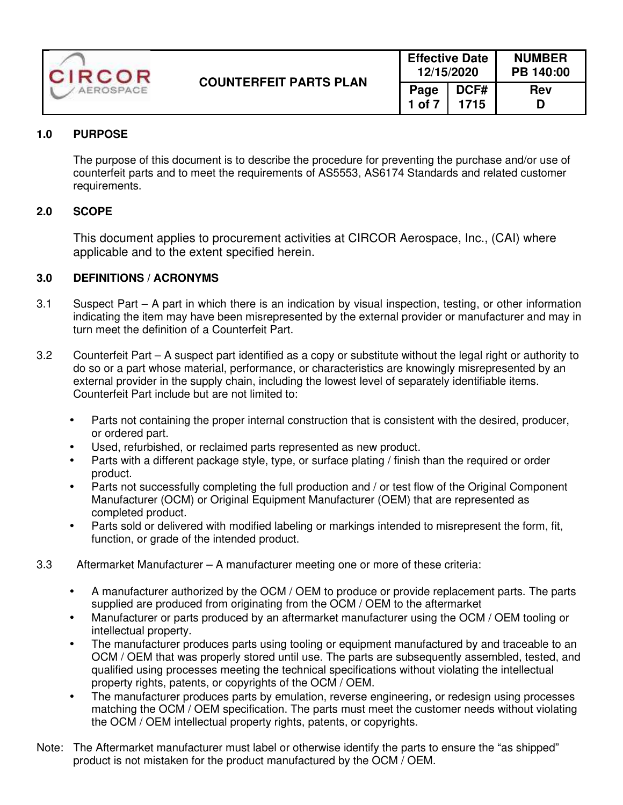

# **1.0 PURPOSE**

The purpose of this document is to describe the procedure for preventing the purchase and/or use of counterfeit parts and to meet the requirements of AS5553, AS6174 Standards and related customer requirements.

## **2.0 SCOPE**

This document applies to procurement activities at CIRCOR Aerospace, Inc., (CAI) where applicable and to the extent specified herein.

## **3.0 DEFINITIONS / ACRONYMS**

- 3.1 Suspect Part A part in which there is an indication by visual inspection, testing, or other information indicating the item may have been misrepresented by the external provider or manufacturer and may in turn meet the definition of a Counterfeit Part.
- 3.2 Counterfeit Part A suspect part identified as a copy or substitute without the legal right or authority to do so or a part whose material, performance, or characteristics are knowingly misrepresented by an external provider in the supply chain, including the lowest level of separately identifiable items. Counterfeit Part include but are not limited to:
	- Parts not containing the proper internal construction that is consistent with the desired, producer, or ordered part.
	- Used, refurbished, or reclaimed parts represented as new product.
	- Parts with a different package style, type, or surface plating / finish than the required or order product.
	- Parts not successfully completing the full production and / or test flow of the Original Component Manufacturer (OCM) or Original Equipment Manufacturer (OEM) that are represented as completed product.
	- Parts sold or delivered with modified labeling or markings intended to misrepresent the form, fit, function, or grade of the intended product.
- 3.3 Aftermarket Manufacturer A manufacturer meeting one or more of these criteria:
	- A manufacturer authorized by the OCM / OEM to produce or provide replacement parts. The parts supplied are produced from originating from the OCM / OEM to the aftermarket
	- Manufacturer or parts produced by an aftermarket manufacturer using the OCM / OEM tooling or intellectual property.
	- The manufacturer produces parts using tooling or equipment manufactured by and traceable to an OCM / OEM that was properly stored until use. The parts are subsequently assembled, tested, and qualified using processes meeting the technical specifications without violating the intellectual property rights, patents, or copyrights of the OCM / OEM.
	- The manufacturer produces parts by emulation, reverse engineering, or redesign using processes matching the OCM / OEM specification. The parts must meet the customer needs without violating the OCM / OEM intellectual property rights, patents, or copyrights.
- Note: The Aftermarket manufacturer must label or otherwise identify the parts to ensure the "as shipped" product is not mistaken for the product manufactured by the OCM / OEM.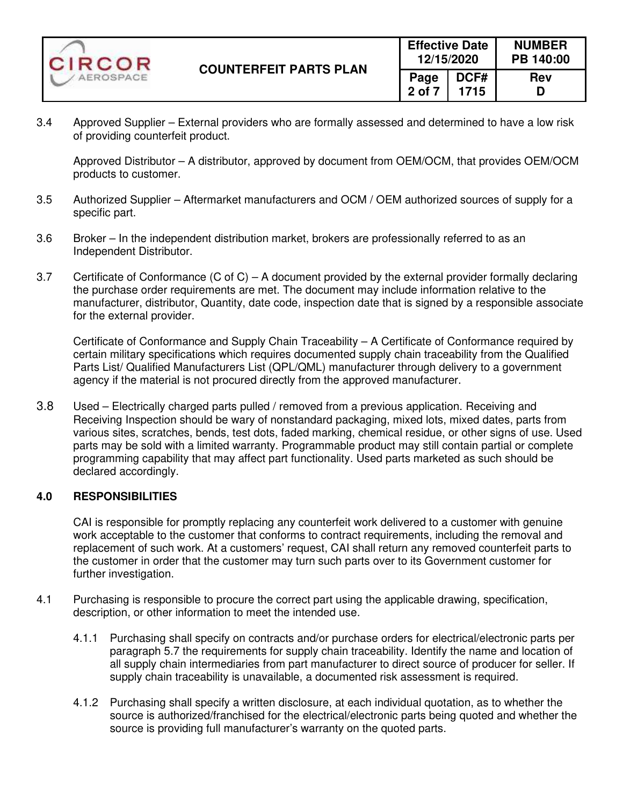

3.4 Approved Supplier – External providers who are formally assessed and determined to have a low risk of providing counterfeit product.

Approved Distributor – A distributor, approved by document from OEM/OCM, that provides OEM/OCM products to customer.

- 3.5 Authorized Supplier Aftermarket manufacturers and OCM / OEM authorized sources of supply for a specific part.
- 3.6 Broker In the independent distribution market, brokers are professionally referred to as an Independent Distributor.
- 3.7 Certificate of Conformance (C of C) A document provided by the external provider formally declaring the purchase order requirements are met. The document may include information relative to the manufacturer, distributor, Quantity, date code, inspection date that is signed by a responsible associate for the external provider.

 Certificate of Conformance and Supply Chain Traceability – A Certificate of Conformance required by certain military specifications which requires documented supply chain traceability from the Qualified Parts List/ Qualified Manufacturers List (QPL/QML) manufacturer through delivery to a government agency if the material is not procured directly from the approved manufacturer.

3.8 Used – Electrically charged parts pulled / removed from a previous application. Receiving and Receiving Inspection should be wary of nonstandard packaging, mixed lots, mixed dates, parts from various sites, scratches, bends, test dots, faded marking, chemical residue, or other signs of use. Used parts may be sold with a limited warranty. Programmable product may still contain partial or complete programming capability that may affect part functionality. Used parts marketed as such should be declared accordingly.

#### **4.0 RESPONSIBILITIES**

CAI is responsible for promptly replacing any counterfeit work delivered to a customer with genuine work acceptable to the customer that conforms to contract requirements, including the removal and replacement of such work. At a customers' request, CAI shall return any removed counterfeit parts to the customer in order that the customer may turn such parts over to its Government customer for further investigation.

- 4.1 Purchasing is responsible to procure the correct part using the applicable drawing, specification, description, or other information to meet the intended use.
	- 4.1.1 Purchasing shall specify on contracts and/or purchase orders for electrical/electronic parts per paragraph 5.7 the requirements for supply chain traceability. Identify the name and location of all supply chain intermediaries from part manufacturer to direct source of producer for seller. If supply chain traceability is unavailable, a documented risk assessment is required.
	- 4.1.2 Purchasing shall specify a written disclosure, at each individual quotation, as to whether the source is authorized/franchised for the electrical/electronic parts being quoted and whether the source is providing full manufacturer's warranty on the quoted parts.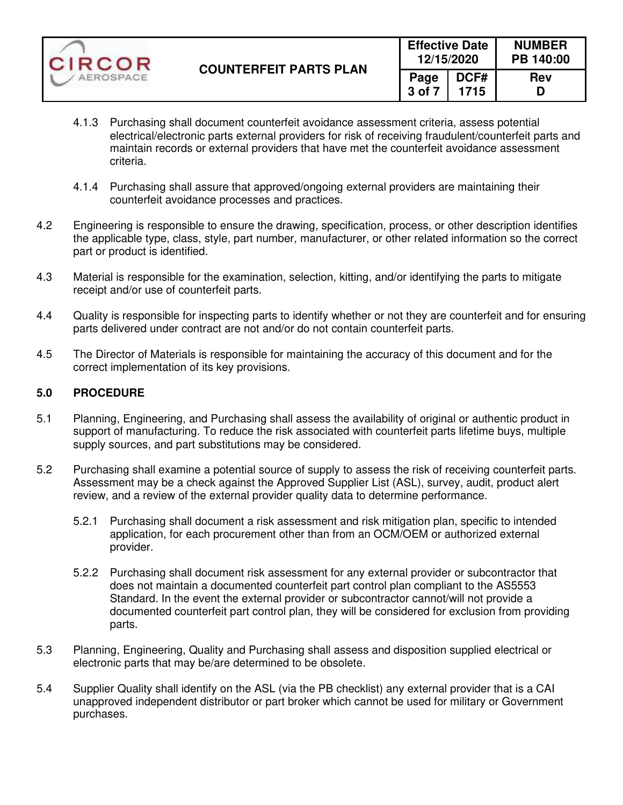| CIRCOR    | <b>COUNTERFEIT PARTS PLAN</b> | <b>Effective Date</b><br>12/15/2020 |              | <b>NUMBER</b><br>PB 140:00 |  |
|-----------|-------------------------------|-------------------------------------|--------------|----------------------------|--|
| AEROSPACE |                               | Page<br>3 of 7                      | DCF#<br>1715 | <b>Rev</b>                 |  |

- 4.1.3 Purchasing shall document counterfeit avoidance assessment criteria, assess potential electrical/electronic parts external providers for risk of receiving fraudulent/counterfeit parts and maintain records or external providers that have met the counterfeit avoidance assessment criteria.
- 4.1.4 Purchasing shall assure that approved/ongoing external providers are maintaining their counterfeit avoidance processes and practices.
- 4.2 Engineering is responsible to ensure the drawing, specification, process, or other description identifies the applicable type, class, style, part number, manufacturer, or other related information so the correct part or product is identified.
- 4.3 Material is responsible for the examination, selection, kitting, and/or identifying the parts to mitigate receipt and/or use of counterfeit parts.
- 4.4 Quality is responsible for inspecting parts to identify whether or not they are counterfeit and for ensuring parts delivered under contract are not and/or do not contain counterfeit parts.
- 4.5 The Director of Materials is responsible for maintaining the accuracy of this document and for the correct implementation of its key provisions.

### **5.0 PROCEDURE**

- 5.1 Planning, Engineering, and Purchasing shall assess the availability of original or authentic product in support of manufacturing. To reduce the risk associated with counterfeit parts lifetime buys, multiple supply sources, and part substitutions may be considered.
- 5.2 Purchasing shall examine a potential source of supply to assess the risk of receiving counterfeit parts. Assessment may be a check against the Approved Supplier List (ASL), survey, audit, product alert review, and a review of the external provider quality data to determine performance.
	- 5.2.1 Purchasing shall document a risk assessment and risk mitigation plan, specific to intended application, for each procurement other than from an OCM/OEM or authorized external provider.
	- 5.2.2 Purchasing shall document risk assessment for any external provider or subcontractor that does not maintain a documented counterfeit part control plan compliant to the AS5553 Standard. In the event the external provider or subcontractor cannot/will not provide a documented counterfeit part control plan, they will be considered for exclusion from providing parts.
- 5.3 Planning, Engineering, Quality and Purchasing shall assess and disposition supplied electrical or electronic parts that may be/are determined to be obsolete.
- 5.4 Supplier Quality shall identify on the ASL (via the PB checklist) any external provider that is a CAI unapproved independent distributor or part broker which cannot be used for military or Government purchases.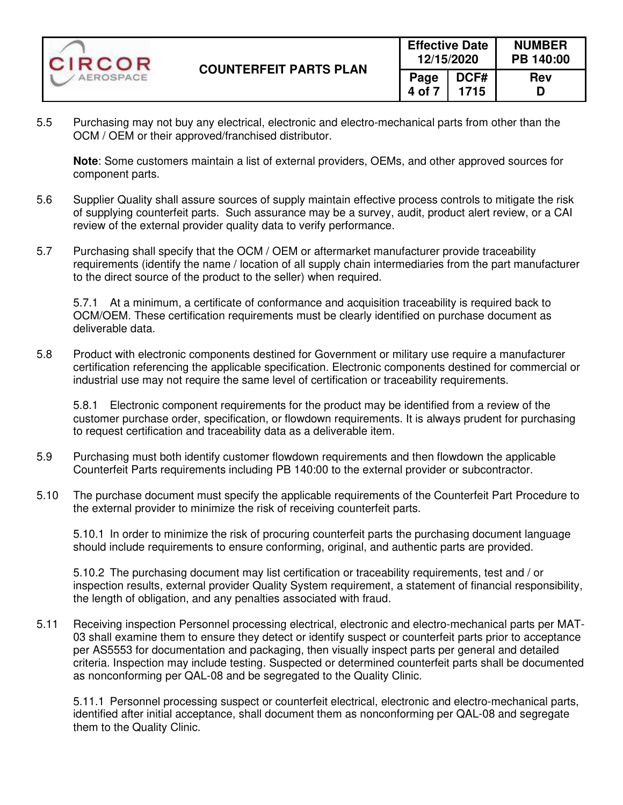

5.5 Purchasing may not buy any electrical, electronic and electro-mechanical parts from other than the OCM / OEM or their approved/franchised distributor.

**Note**: Some customers maintain a list of external providers, OEMs, and other approved sources for component parts.

- 5.6 Supplier Quality shall assure sources of supply maintain effective process controls to mitigate the risk of supplying counterfeit parts. Such assurance may be a survey, audit, product alert review, or a CAI review of the external provider quality data to verify performance.
- 5.7 Purchasing shall specify that the OCM / OEM or aftermarket manufacturer provide traceability requirements (identify the name / location of all supply chain intermediaries from the part manufacturer to the direct source of the product to the seller) when required.

5.7.1 At a minimum, a certificate of conformance and acquisition traceability is required back to OCM/OEM. These certification requirements must be clearly identified on purchase document as deliverable data.

5.8 Product with electronic components destined for Government or military use require a manufacturer certification referencing the applicable specification. Electronic components destined for commercial or industrial use may not require the same level of certification or traceability requirements.

5.8.1 Electronic component requirements for the product may be identified from a review of the customer purchase order, specification, or flowdown requirements. It is always prudent for purchasing to request certification and traceability data as a deliverable item.

- 5.9 Purchasing must both identify customer flowdown requirements and then flowdown the applicable Counterfeit Parts requirements including PB 140:00 to the external provider or subcontractor.
- 5.10 The purchase document must specify the applicable requirements of the Counterfeit Part Procedure to the external provider to minimize the risk of receiving counterfeit parts.

5.10.1 In order to minimize the risk of procuring counterfeit parts the purchasing document language should include requirements to ensure conforming, original, and authentic parts are provided.

5.10.2 The purchasing document may list certification or traceability requirements, test and / or inspection results, external provider Quality System requirement, a statement of financial responsibility, the length of obligation, and any penalties associated with fraud.

5.11 Receiving inspection Personnel processing electrical, electronic and electro-mechanical parts per MAT-03 shall examine them to ensure they detect or identify suspect or counterfeit parts prior to acceptance per AS5553 for documentation and packaging, then visually inspect parts per general and detailed criteria. Inspection may include testing. Suspected or determined counterfeit parts shall be documented as nonconforming per QAL-08 and be segregated to the Quality Clinic.

 5.11.1 Personnel processing suspect or counterfeit electrical, electronic and electro-mechanical parts, identified after initial acceptance, shall document them as nonconforming per QAL-08 and segregate them to the Quality Clinic.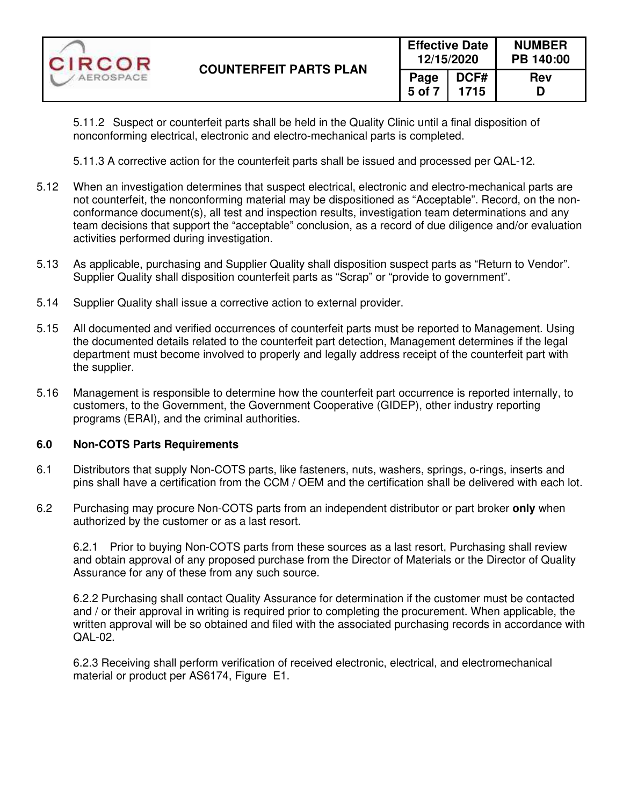| CIRCOR    | <b>COUNTERFEIT PARTS PLAN</b> | <b>Effective Date</b><br>12/15/2020 |              | <b>NUMBER</b><br>PB 140:00 |  |
|-----------|-------------------------------|-------------------------------------|--------------|----------------------------|--|
| AEROSPACE |                               | Page<br>5 of 7                      | DCF#<br>1715 | <b>Rev</b><br>D            |  |

5.11.2 Suspect or counterfeit parts shall be held in the Quality Clinic until a final disposition of nonconforming electrical, electronic and electro-mechanical parts is completed.

5.11.3 A corrective action for the counterfeit parts shall be issued and processed per QAL-12.

- 5.12 When an investigation determines that suspect electrical, electronic and electro-mechanical parts are not counterfeit, the nonconforming material may be dispositioned as "Acceptable". Record, on the nonconformance document(s), all test and inspection results, investigation team determinations and any team decisions that support the "acceptable" conclusion, as a record of due diligence and/or evaluation activities performed during investigation.
- 5.13 As applicable, purchasing and Supplier Quality shall disposition suspect parts as "Return to Vendor". Supplier Quality shall disposition counterfeit parts as "Scrap" or "provide to government".
- 5.14 Supplier Quality shall issue a corrective action to external provider.
- 5.15 All documented and verified occurrences of counterfeit parts must be reported to Management. Using the documented details related to the counterfeit part detection, Management determines if the legal department must become involved to properly and legally address receipt of the counterfeit part with the supplier.
- 5.16 Management is responsible to determine how the counterfeit part occurrence is reported internally, to customers, to the Government, the Government Cooperative (GIDEP), other industry reporting programs (ERAI), and the criminal authorities.

#### **6.0 Non-COTS Parts Requirements**

- 6.1 Distributors that supply Non-COTS parts, like fasteners, nuts, washers, springs, o-rings, inserts and pins shall have a certification from the CCM / OEM and the certification shall be delivered with each lot.
- 6.2 Purchasing may procure Non-COTS parts from an independent distributor or part broker **only** when authorized by the customer or as a last resort.

6.2.1 Prior to buying Non-COTS parts from these sources as a last resort, Purchasing shall review and obtain approval of any proposed purchase from the Director of Materials or the Director of Quality Assurance for any of these from any such source.

6.2.2 Purchasing shall contact Quality Assurance for determination if the customer must be contacted and / or their approval in writing is required prior to completing the procurement. When applicable, the written approval will be so obtained and filed with the associated purchasing records in accordance with QAL-02.

6.2.3 Receiving shall perform verification of received electronic, electrical, and electromechanical material or product per AS6174, Figure E1.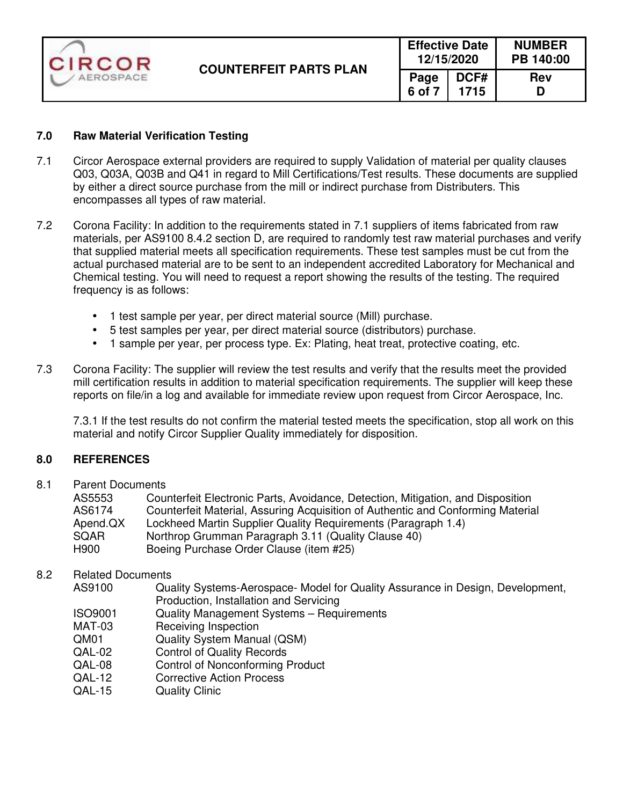| CIRCOR    | <b>COUNTERFEIT PARTS PLAN</b> | <b>Effective Date</b><br>12/15/2020 |              | <b>NUMBER</b><br>PB 140:00 |  |
|-----------|-------------------------------|-------------------------------------|--------------|----------------------------|--|
| AEROSPACE |                               | Page<br>6 of 7                      | DCF#<br>1715 | <b>Rev</b><br>D            |  |

### **7.0 Raw Material Verification Testing**

- 7.1 Circor Aerospace external providers are required to supply Validation of material per quality clauses Q03, Q03A, Q03B and Q41 in regard to Mill Certifications/Test results. These documents are supplied by either a direct source purchase from the mill or indirect purchase from Distributers. This encompasses all types of raw material.
- 7.2 Corona Facility: In addition to the requirements stated in 7.1 suppliers of items fabricated from raw materials, per AS9100 8.4.2 section D, are required to randomly test raw material purchases and verify that supplied material meets all specification requirements. These test samples must be cut from the actual purchased material are to be sent to an independent accredited Laboratory for Mechanical and Chemical testing. You will need to request a report showing the results of the testing. The required frequency is as follows:
	- 1 test sample per year, per direct material source (Mill) purchase.
	- 5 test samples per year, per direct material source (distributors) purchase.
	- 1 sample per year, per process type. Ex: Plating, heat treat, protective coating, etc.
- 7.3 Corona Facility: The supplier will review the test results and verify that the results meet the provided mill certification results in addition to material specification requirements. The supplier will keep these reports on file/in a log and available for immediate review upon request from Circor Aerospace, Inc.

 7.3.1 If the test results do not confirm the material tested meets the specification, stop all work on this material and notify Circor Supplier Quality immediately for disposition.

#### **8.0 REFERENCES**

8.1 Parent Documents

| AS5553   | Counterfeit Electronic Parts, Avoidance, Detection, Mitigation, and Disposition |
|----------|---------------------------------------------------------------------------------|
| AS6174   | Counterfeit Material, Assuring Acquisition of Authentic and Conforming Material |
| Apend.QX | Lockheed Martin Supplier Quality Requirements (Paragraph 1.4)                   |
| SQAR     | Northrop Grumman Paragraph 3.11 (Quality Clause 40)                             |
| H900     | Boeing Purchase Order Clause (item #25)                                         |

### 8.2 Related Documents

- AS9100 Quality Systems-Aerospace- Model for Quality Assurance in Design, Development, Production, Installation and Servicing
- ISO9001 Quality Management Systems Requirements
- MAT-03 Receiving Inspection
- QM01 Quality System Manual (QSM)
- QAL-02 Control of Quality Records
- QAL-08 Control of Nonconforming Product
- QAL-12 Corrective Action Process
- QAL-15 Quality Clinic